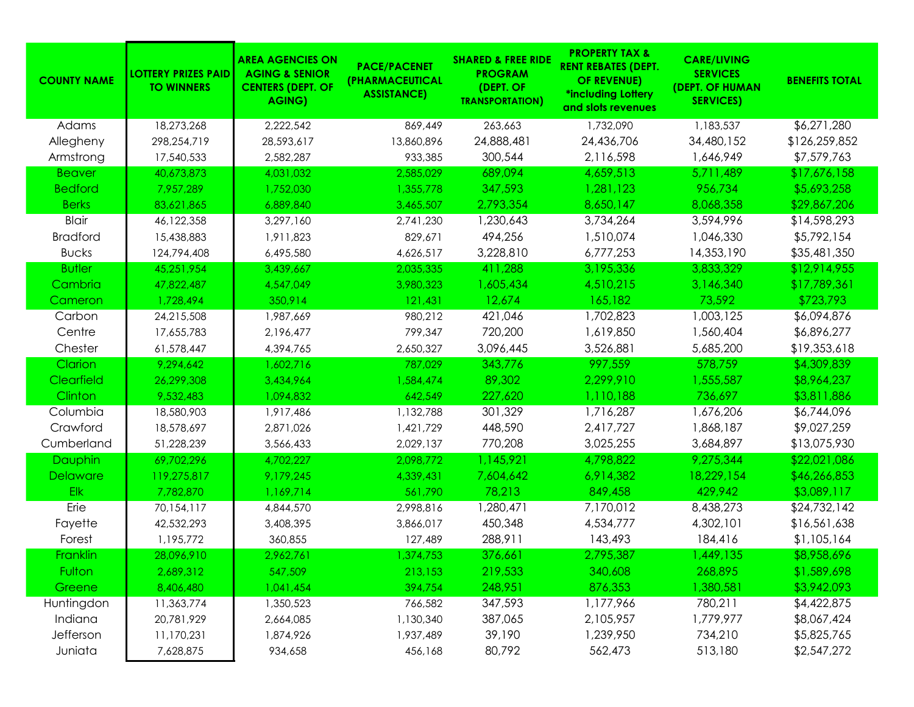| <b>COUNTY NAME</b> | <b>LOTTERY PRIZES PAID</b><br><b>TO WINNERS</b> | <b>AREA AGENCIES ON</b><br><b>AGING &amp; SENIOR</b><br><b>CENTERS (DEPT. OF</b><br><b>AGING)</b> | <b>PACE/PACENET</b><br><b>(PHARMACEUTICAL</b><br><b>ASSISTANCE)</b> | <b>SHARED &amp; FREE RIDE</b><br><b>PROGRAM</b><br>(DEPT. OF<br><b>TRANSPORTATION)</b> | <b>PROPERTY TAX &amp;</b><br><b>RENT REBATES (DEPT.</b><br><b>OF REVENUE)</b><br>*including Lottery<br>and slots revenues | <b>CARE/LIVING</b><br><b>SERVICES</b><br>(DEPT. OF HUMAN<br><b>SERVICES)</b> | <b>BENEFITS TOTAL</b> |
|--------------------|-------------------------------------------------|---------------------------------------------------------------------------------------------------|---------------------------------------------------------------------|----------------------------------------------------------------------------------------|---------------------------------------------------------------------------------------------------------------------------|------------------------------------------------------------------------------|-----------------------|
| Adams              | 18,273,268                                      | 2,222,542                                                                                         | 869,449                                                             | 263,663                                                                                | 1,732,090                                                                                                                 | 1,183,537                                                                    | \$6,271,280           |
| Allegheny          | 298,254,719                                     | 28,593,617                                                                                        | 13,860,896                                                          | 24,888,481                                                                             | 24,436,706                                                                                                                | 34,480,152                                                                   | \$126,259,852         |
| Armstrong          | 17,540,533                                      | 2,582,287                                                                                         | 933,385                                                             | 300,544                                                                                | 2,116,598                                                                                                                 | 1,646,949                                                                    | \$7,579,763           |
| <b>Beaver</b>      | 40,673,873                                      | 4,031,032                                                                                         | 2,585,029                                                           | 689,094                                                                                | 4,659,513                                                                                                                 | 5,711,489                                                                    | \$17,676,158          |
| <b>Bedford</b>     | 7,957,289                                       | 1,752,030                                                                                         | 1,355,778                                                           | 347,593                                                                                | 1,281,123                                                                                                                 | 956,734                                                                      | \$5,693,258           |
| <b>Berks</b>       | 83,621,865                                      | 6,889,840                                                                                         | 3,465,507                                                           | 2,793,354                                                                              | 8,650,147                                                                                                                 | 8,068,358                                                                    | \$29,867,206          |
| <b>Blair</b>       | 46,122,358                                      | 3,297,160                                                                                         | 2,741,230                                                           | 1,230,643                                                                              | 3,734,264                                                                                                                 | 3,594,996                                                                    | \$14,598,293          |
| <b>Bradford</b>    | 15,438,883                                      | 1,911,823                                                                                         | 829,671                                                             | 494,256                                                                                | 1,510,074                                                                                                                 | 1,046,330                                                                    | \$5,792,154           |
| <b>Bucks</b>       | 124,794,408                                     | 6,495,580                                                                                         | 4,626,517                                                           | 3,228,810                                                                              | 6,777,253                                                                                                                 | 14,353,190                                                                   | \$35,481,350          |
| <b>Butler</b>      | 45,251,954                                      | 3,439,667                                                                                         | 2,035,335                                                           | 411,288                                                                                | 3,195,336                                                                                                                 | 3,833,329                                                                    | \$12,914,955          |
| Cambria            | 47,822,487                                      | 4,547,049                                                                                         | 3,980,323                                                           | 1,605,434                                                                              | 4,510,215                                                                                                                 | 3,146,340                                                                    | \$17,789,361          |
| Cameron            | 1,728,494                                       | 350,914                                                                                           | 121,431                                                             | 12,674                                                                                 | 165,182                                                                                                                   | 73,592                                                                       | \$723,793             |
| Carbon             | 24,215,508                                      | 1,987,669                                                                                         | 980,212                                                             | 421,046                                                                                | 1,702,823                                                                                                                 | 1,003,125                                                                    | \$6,094,876           |
| Centre             | 17,655,783                                      | 2,196,477                                                                                         | 799,347                                                             | 720,200                                                                                | 1,619,850                                                                                                                 | 1,560,404                                                                    | \$6,896,277           |
| Chester            | 61,578,447                                      | 4,394,765                                                                                         | 2,650,327                                                           | 3,096,445                                                                              | 3,526,881                                                                                                                 | 5,685,200                                                                    | \$19,353,618          |
| Clarion            | 9,294,642                                       | 1,602,716                                                                                         | 787,029                                                             | 343,776                                                                                | 997,559                                                                                                                   | 578,759                                                                      | \$4,309,839           |
| Clearfield         | 26,299,308                                      | 3,434,964                                                                                         | ,584,474                                                            | 89,302                                                                                 | 2,299,910                                                                                                                 | 1,555,587                                                                    | \$8,964,237           |
| Clinton            | 9,532,483                                       | 1,094,832                                                                                         | 642,549                                                             | 227,620                                                                                | 1,110,188                                                                                                                 | 736,697                                                                      | \$3,811,886           |
| Columbia           | 18,580,903                                      | 1,917,486                                                                                         | 1,132,788                                                           | 301,329                                                                                | 1,716,287                                                                                                                 | 1,676,206                                                                    | \$6,744,096           |
| Crawford           | 18,578,697                                      | 2,871,026                                                                                         | 1,421,729                                                           | 448,590                                                                                | 2,417,727                                                                                                                 | 1,868,187                                                                    | \$9,027,259           |
| Cumberland         | 51,228,239                                      | 3,566,433                                                                                         | 2,029,137                                                           | 770,208                                                                                | 3,025,255                                                                                                                 | 3,684,897                                                                    | \$13,075,930          |
| <b>Dauphin</b>     | 69,702,296                                      | 4,702,227                                                                                         | 2,098,772                                                           | 1,145,921                                                                              | 4,798,822                                                                                                                 | 9,275,344                                                                    | \$22,021,086          |
| <b>Delaware</b>    | 119,275,817                                     | 9,179,245                                                                                         | 4,339,431                                                           | 7,604,642                                                                              | 6,914,382                                                                                                                 | 18,229,154                                                                   | \$46,266,853          |
| <b>Elk</b>         | 7,782,870                                       | 1,169,714                                                                                         | 561,790                                                             | 78,213                                                                                 | 849,458                                                                                                                   | 429,942                                                                      | \$3,089,117           |
| Erie               | 70,154,117                                      | 4,844,570                                                                                         | 2,998,816                                                           | 1,280,471                                                                              | 7,170,012                                                                                                                 | 8,438,273                                                                    | \$24,732,142          |
| Fayette            | 42,532,293                                      | 3,408,395                                                                                         | 3,866,017                                                           | 450,348                                                                                | 4,534,777                                                                                                                 | 4,302,101                                                                    | \$16,561,638          |
| Forest             | 1,195,772                                       | 360,855                                                                                           | 127,489                                                             | 288,911                                                                                | 143,493                                                                                                                   | 184,416                                                                      | \$1,105,164           |
| Franklin           | 28.096.910                                      | 2.962.761                                                                                         | .374.753                                                            | 376,661                                                                                | 2,795,387                                                                                                                 | 1,449,135                                                                    | \$8,958,696           |
| Fulton             | 2,689,312                                       | 547,509                                                                                           | 213,153                                                             | 219,533                                                                                | 340,608                                                                                                                   | 268,895                                                                      | \$1,589,698           |
| <b>Greene</b>      | 8,406,480                                       | 1,041,454                                                                                         | 394,754                                                             | 248,951                                                                                | 876,353                                                                                                                   | 1,380,581                                                                    | \$3,942,093           |
| Huntingdon         | 11,363,774                                      | 1,350,523                                                                                         | 766,582                                                             | 347,593                                                                                | 1,177,966                                                                                                                 | 780,211                                                                      | \$4,422,875           |
| Indiana            | 20,781,929                                      | 2,664,085                                                                                         | 1,130,340                                                           | 387,065                                                                                | 2,105,957                                                                                                                 | 1,779,977                                                                    | \$8,067,424           |
| Jefferson          | 11,170,231                                      | 1,874,926                                                                                         | 1,937,489                                                           | 39,190                                                                                 | 1,239,950                                                                                                                 | 734,210                                                                      | \$5,825,765           |
| Juniata            | 7,628,875                                       | 934,658                                                                                           | 456,168                                                             | 80,792                                                                                 | 562,473                                                                                                                   | 513,180                                                                      | \$2,547,272           |